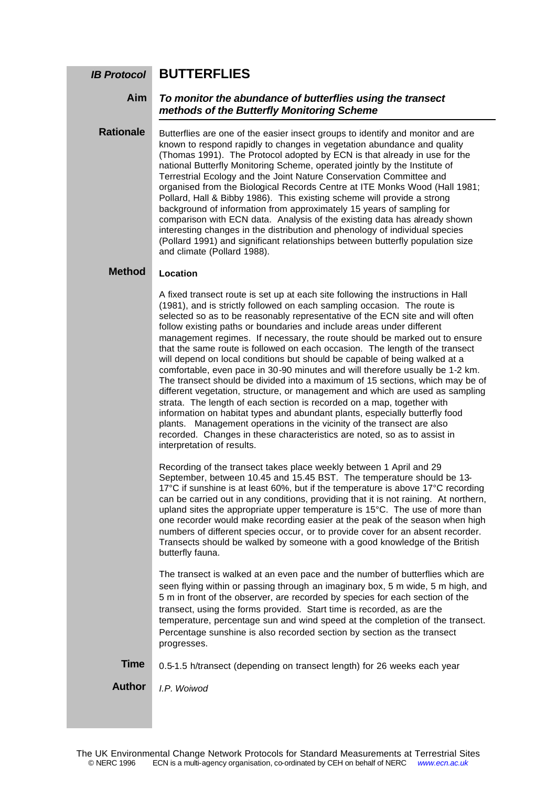### **BUTTERFLIES** *IB Protocol*

**Aim**

## *To monitor the abundance of butterflies using the transect methods of the Butterfly Monitoring Scheme*

Butterflies are one of the easier insect groups to identify and monitor and are known to respond rapidly to changes in vegetation abundance and quality (Thomas 1991). The Protocol adopted by ECN is that already in use for the national Butterfly Monitoring Scheme, operated jointly by the Institute of Terrestrial Ecology and the Joint Nature Conservation Committee and organised from the Biological Records Centre at ITE Monks Wood (Hall 1981; Pollard, Hall & Bibby 1986). This existing scheme will provide a strong background of information from approximately 15 years of sampling for comparison with ECN data. Analysis of the existing data has already shown interesting changes in the distribution and phenology of individual species (Pollard 1991) and significant relationships between butterfly population size and climate (Pollard 1988). **Rationale**

#### **Location Method**

A fixed transect route is set up at each site following the instructions in Hall (1981), and is strictly followed on each sampling occasion. The route is selected so as to be reasonably representative of the ECN site and will often follow existing paths or boundaries and include areas under different management regimes. If necessary, the route should be marked out to ensure that the same route is followed on each occasion. The length of the transect will depend on local conditions but should be capable of being walked at a comfortable, even pace in 30-90 minutes and will therefore usually be 1-2 km. The transect should be divided into a maximum of 15 sections, which may be of different vegetation, structure, or management and which are used as sampling strata. The length of each section is recorded on a map, together with information on habitat types and abundant plants, especially butterfly food plants. Management operations in the vicinity of the transect are also recorded. Changes in these characteristics are noted, so as to assist in interpretation of results.

Recording of the transect takes place weekly between 1 April and 29 September, between 10.45 and 15.45 BST. The temperature should be 13-  $17^{\circ}$ C if sunshine is at least 60%, but if the temperature is above  $17^{\circ}$ C recording can be carried out in any conditions, providing that it is not raining. At northern, upland sites the appropriate upper temperature is 15°C. The use of more than one recorder would make recording easier at the peak of the season when high numbers of different species occur, or to provide cover for an absent recorder. Transects should be walked by someone with a good knowledge of the British butterfly fauna.

The transect is walked at an even pace and the number of butterflies which are seen flying within or passing through an imaginary box, 5 m wide, 5 m high, and 5 m in front of the observer, are recorded by species for each section of the transect, using the forms provided. Start time is recorded, as are the temperature, percentage sun and wind speed at the completion of the transect. Percentage sunshine is also recorded section by section as the transect progresses.

0.5-1.5 h/transect (depending on transect length) for 26 weeks each year **Time**

*I.P. Woiwod* **Author**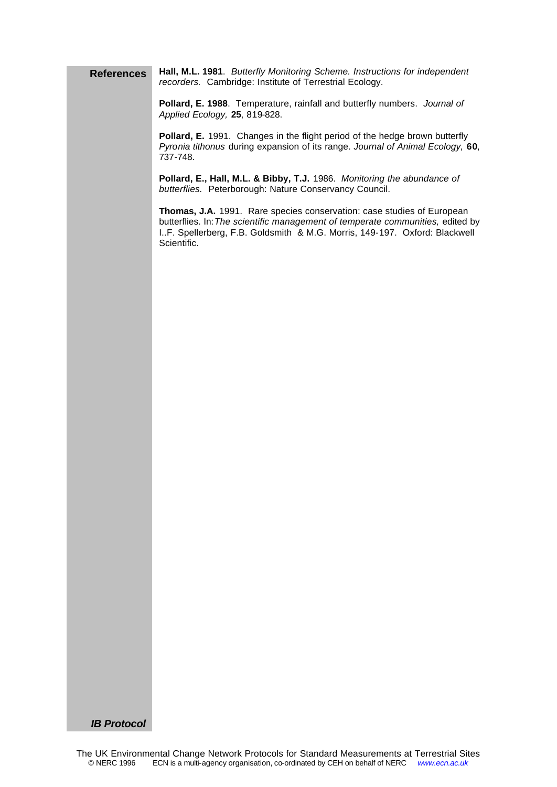**Hall, M.L. 1981**. *Butterfly Monitoring Scheme. Instructions for independent recorders.* Cambridge: Institute of Terrestrial Ecology. **References**

> **Pollard, E. 1988**. Temperature, rainfall and butterfly numbers. *Journal of Applied Ecology,* **25**, 819-828.

**Pollard, E.** 1991. Changes in the flight period of the hedge brown butterfly *Pyronia tithonus* during expansion of its range. *Journal of Animal Ecology,* **60**, 737-748.

**Pollard, E., Hall, M.L. & Bibby, T.J.** 1986. *Monitoring the abundance of butterflies.* Peterborough: Nature Conservancy Council.

**Thomas, J.A.** 1991. Rare species conservation: case studies of European butterflies. In:*The scientific management of temperate communities,* edited by I..F. Spellerberg, F.B. Goldsmith & M.G. Morris, 149-197. Oxford: Blackwell Scientific.

*IB Protocol*